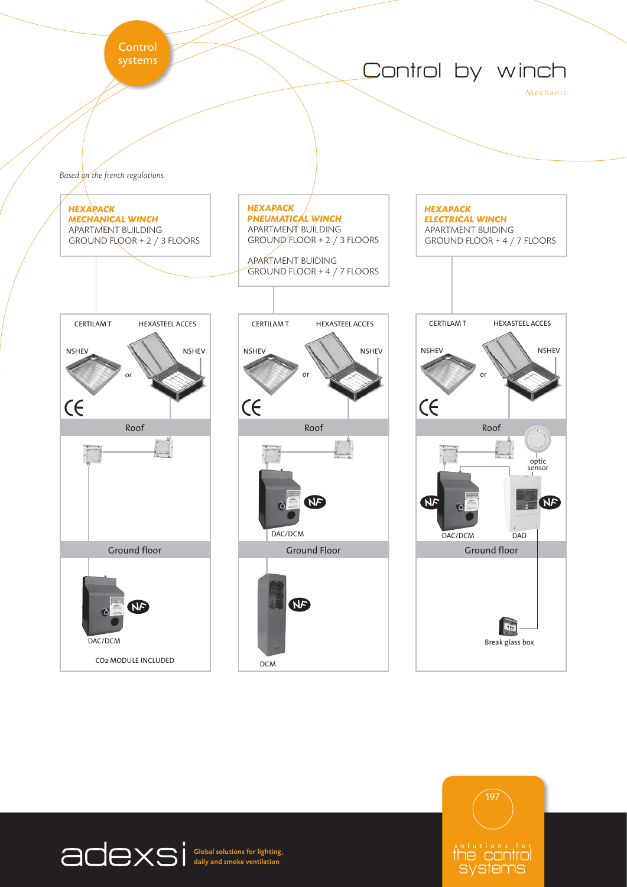Control<br>systems







Global solutions for lighting, daily and smoke ventilation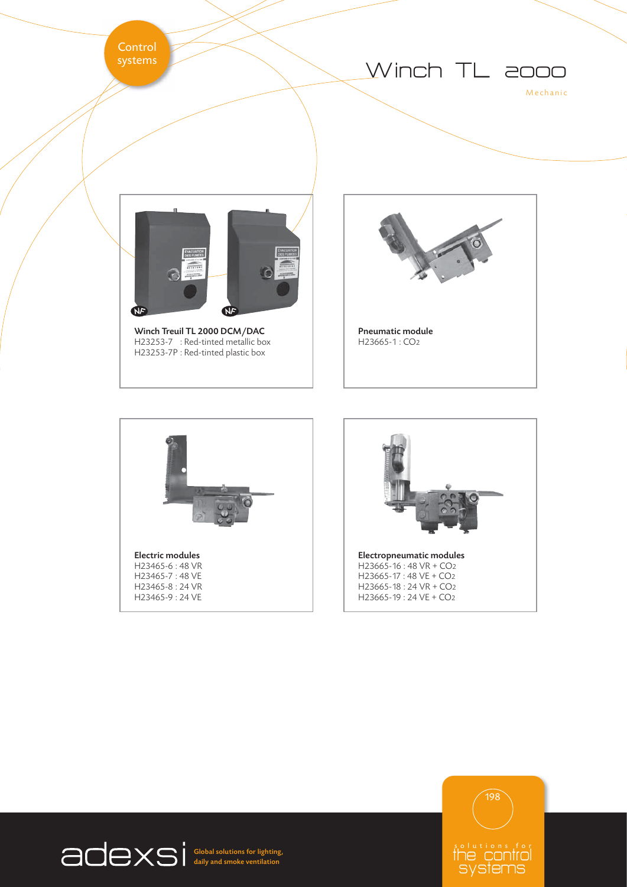Control<br>systems





 $H23253-7$  : Red-tinted metallic box H23253-7P : Red-tinted plastic box









Global solutions for lighting, daily and smoke ventilation

solutions for<br>The control systems 198